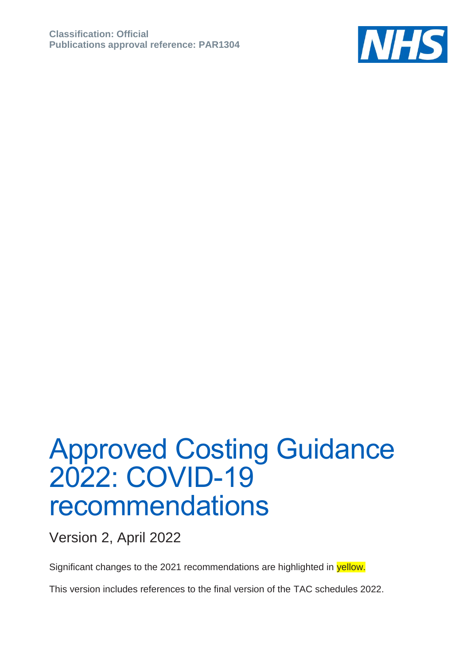

## Approved Costing Guidance 2022: COVID-19 recommendations

Version 2, April 2022

Significant changes to the 2021 recommendations are highlighted in yellow.

This version includes references to the final version of the TAC schedules 2022.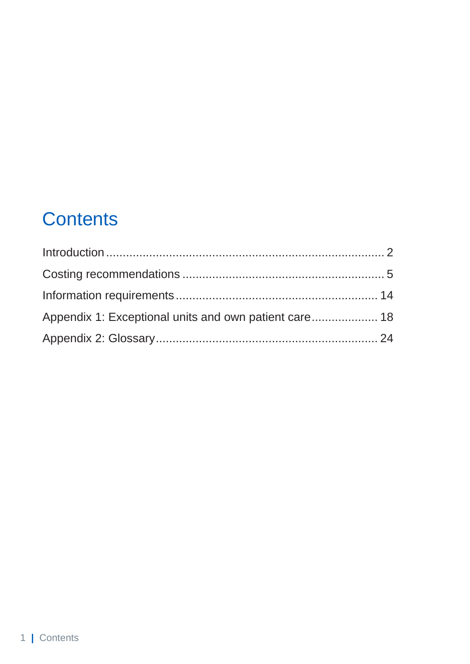### **Contents**

| Appendix 1: Exceptional units and own patient care 18 |  |
|-------------------------------------------------------|--|
|                                                       |  |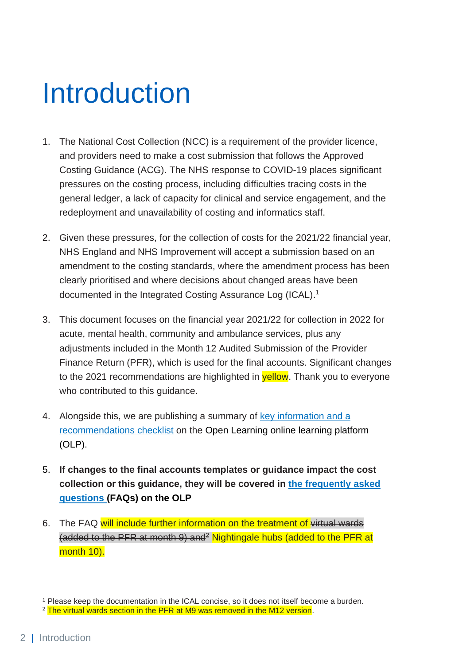## <span id="page-2-0"></span>Introduction

- 1. The National Cost Collection (NCC) is a requirement of the provider licence, and providers need to make a cost submission that follows the Approved Costing Guidance (ACG). The NHS response to COVID-19 places significant pressures on the costing process, including difficulties tracing costs in the general ledger, a lack of capacity for clinical and service engagement, and the redeployment and unavailability of costing and informatics staff.
- 2. Given these pressures, for the collection of costs for the 2021/22 financial year, NHS England and NHS Improvement will accept a submission based on an amendment to the costing standards, where the amendment process has been clearly prioritised and where decisions about changed areas have been documented in the Integrated Costing Assurance Log (ICAL). 1
- 3. This document focuses on the financial year 2021/22 for collection in 2022 for acute, mental health, community and ambulance services, plus any adjustments included in the Month 12 Audited Submission of the Provider Finance Return (PFR), which is used for the final accounts. Significant changes to the 2021 recommendations are highlighted in **yellow**. Thank you to everyone who contributed to this guidance.
- 4. Alongside this, we are publishing a summary of key information and a [recommendations checklist](https://www.openlearning.com/nhs/courses/costing-improvement/covid_19_guidance_2021_22/?cl=1) on the [Open Learning online learning platform](https://www.openlearning.com/nhs/courses/costing-improvement/faqs/?cl=1) (OLP).
- 5. **If changes to the final accounts templates or guidance impact the cost collection or this guidance, they will be covered in [the frequently asked](https://www.openlearning.com/nhs/courses/costing-improvement/faqs/?cl=1)  questions (FAQs) [on the OLP](https://www.openlearning.com/nhs/courses/costing-improvement/faqs/?cl=1)**
- 6. The FAQ will include further information on the treatment of virtual wards (added to the PFR at month 9) and<sup>2</sup> Nightingale hubs (added to the PFR at month 10).

<sup>1</sup> Please keep the documentation in the ICAL concise, so it does not itself become a burden.

<sup>&</sup>lt;sup>2</sup> The virtual wards section in the PFR at M9 was removed in the M12 version.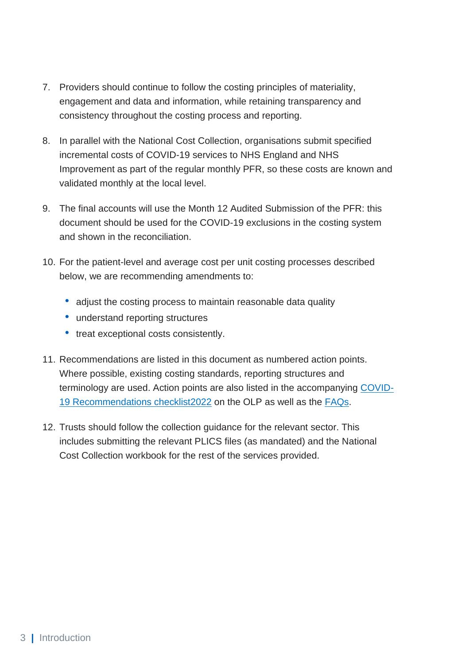- 7. Providers should continue to follow the costing principles of materiality, engagement and data and information, while retaining transparency and consistency throughout the costing process and reporting.
- 8. In parallel with the National Cost Collection, organisations submit specified incremental costs of COVID-19 services to NHS England and NHS Improvement as part of the regular monthly PFR, so these costs are known and validated monthly at the local level.
- 9. The final accounts will use the Month 12 Audited Submission of the PFR: this document should be used for the COVID-19 exclusions in the costing system and shown in the reconciliation.
- 10. For the patient-level and average cost per unit costing processes described below, we are recommending amendments to:
	- adjust the costing process to maintain reasonable data quality
	- understand reporting structures
	- treat exceptional costs consistently.
- 11. Recommendations are listed in this document as numbered action points. Where possible, existing costing standards, reporting structures and terminology are used. Action points are also listed in the accompanying [COVID-](https://www.openlearning.com/nhs/courses/costing-improvement/covid_19_guidance_2021_22/?cl=1)[19 Recommendations checklist2022](https://www.openlearning.com/nhs/courses/costing-improvement/covid_19_guidance_2021_22/?cl=1) on the OLP as well as the [FAQs.](https://www.openlearning.com/nhs/courses/costing-improvement/faqs/?cl=1)
- 12. Trusts should follow the collection guidance for the relevant sector. This includes submitting the relevant PLICS files (as mandated) and the National Cost Collection workbook for the rest of the services provided.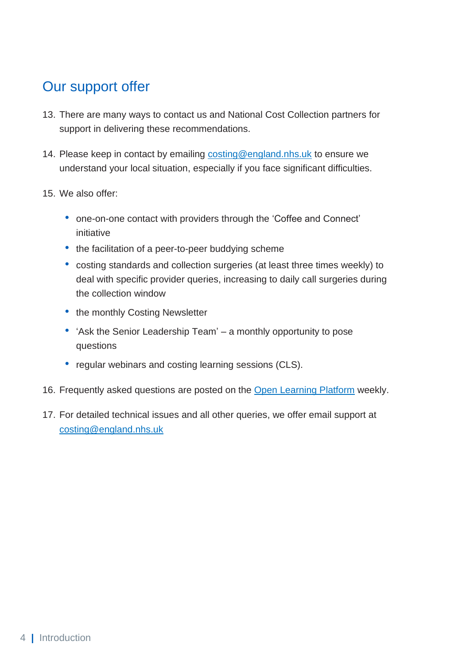### Our support offer

- 13. There are many ways to contact us and National Cost Collection partners for support in delivering these recommendations.
- 14. Please keep in contact by emailing [costing@england.nhs.uk](mailto:costing@england.nhs.uk) to ensure we understand your local situation, especially if you face significant difficulties.
- 15. We also offer:
	- one-on-one contact with providers through the 'Coffee and Connect' initiative
	- the facilitation of a peer-to-peer buddying scheme
	- costing standards and collection surgeries (at least three times weekly) to deal with specific provider queries, increasing to daily call surgeries during the collection window
	- the monthly Costing Newsletter
	- 'Ask the Senior Leadership Team' a monthly opportunity to pose questions
	- regular webinars and costing learning sessions (CLS).
- 16. Frequently asked questions are posted on the [Open Learning Platform](https://www.openlearning.com/nhs/courses/costing-improvement/faqs/) weekly.
- 17. For detailed technical issues and all other queries, we offer email support at [costing@england.nhs.uk](mailto:costing@england.nhs.uk)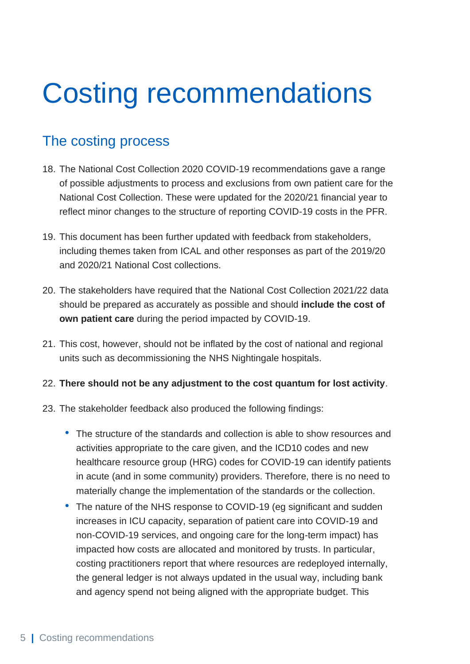## <span id="page-5-0"></span>Costing recommendations

### The costing process

- 18. The National Cost Collection 2020 COVID-19 recommendations gave a range of possible adjustments to process and exclusions from own patient care for the National Cost Collection. These were updated for the 2020/21 financial year to reflect minor changes to the structure of reporting COVID-19 costs in the PFR.
- 19. This document has been further updated with feedback from stakeholders, including themes taken from ICAL and other responses as part of the 2019/20 and 2020/21 National Cost collections.
- 20. The stakeholders have required that the National Cost Collection 2021/22 data should be prepared as accurately as possible and should **include the cost of own patient care** during the period impacted by COVID-19.
- 21. This cost, however, should not be inflated by the cost of national and regional units such as decommissioning the NHS Nightingale hospitals.
- 22. **There should not be any adjustment to the cost quantum for lost activity**.
- 23. The stakeholder feedback also produced the following findings:
	- The structure of the standards and collection is able to show resources and activities appropriate to the care given, and the ICD10 codes and new healthcare resource group (HRG) codes for COVID-19 can identify patients in acute (and in some community) providers. Therefore, there is no need to materially change the implementation of the standards or the collection.
	- The nature of the NHS response to COVID-19 (eq significant and sudden increases in ICU capacity, separation of patient care into COVID-19 and non-COVID-19 services, and ongoing care for the long-term impact) has impacted how costs are allocated and monitored by trusts. In particular, costing practitioners report that where resources are redeployed internally, the general ledger is not always updated in the usual way, including bank and agency spend not being aligned with the appropriate budget. This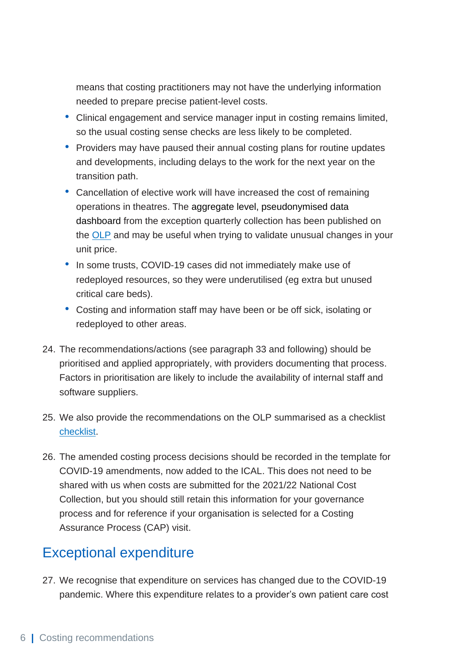means that costing practitioners may not have the underlying information needed to prepare precise patient-level costs.

- Clinical engagement and service manager input in costing remains limited, so the usual costing sense checks are less likely to be completed.
- Providers may have paused their annual costing plans for routine updates and developments, including delays to the work for the next year on the transition path.
- Cancellation of elective work will have increased the cost of remaining operations in theatres. The aggregate level, pseudonymised data dashboard from the exception quarterly collection has been published on the [OLP](https://www.openlearning.com/nhs/courses/costing-improvement/1607594847025/eqc_data_sharing_dashboard/?cl=1) and may be useful when trying to validate unusual changes in your unit price.
- In some trusts, COVID-19 cases did not immediately make use of redeployed resources, so they were underutilised (eg extra but unused critical care beds).
- Costing and information staff may have been or be off sick, isolating or redeployed to other areas.
- 24. The recommendations/actions (see paragraph 33 and following) should be prioritised and applied appropriately, with providers documenting that process. Factors in prioritisation are likely to include the availability of internal staff and software suppliers.
- 25. We also provide the recommendations on the OLP summarised as a checklist [checklist.](https://www.openlearning.com/nhs/courses/costing-improvement/covid_19_guidance_2021_22/?cl=1)
- 26. The amended costing process decisions should be recorded in the template for COVID-19 amendments, now added to the ICAL. This does not need to be shared with us when costs are submitted for the 2021/22 National Cost Collection, but you should still retain this information for your governance process and for reference if your organisation is selected for a Costing Assurance Process (CAP) visit.

### Exceptional expenditure

27. We recognise that expenditure on services has changed due to the COVID-19 pandemic. Where this expenditure relates to a provider's own patient care cost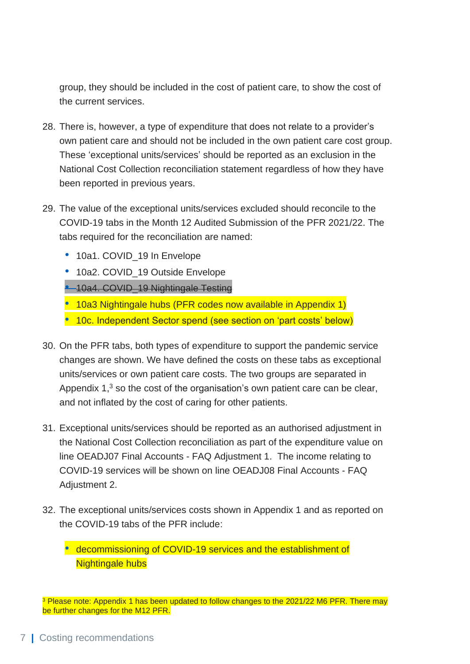group, they should be included in the cost of patient care, to show the cost of the current services.

- 28. There is, however, a type of expenditure that does not relate to a provider's own patient care and should not be included in the own patient care cost group. These 'exceptional units/services' should be reported as an exclusion in the National Cost Collection reconciliation statement regardless of how they have been reported in previous years.
- 29. The value of the exceptional units/services excluded should reconcile to the COVID-19 tabs in the Month 12 Audited Submission of the PFR 2021/22. The tabs required for the reconciliation are named:
	- 10a1. COVID 19 In Envelope
	- 10a2. COVID 19 Outside Envelope
	- 10a4. COVID\_19 Nightingale Testing

• 10a3 Nightingale hubs (PFR codes now available in Appendix 1)

- 10c. Independent Sector spend (see section on 'part costs' below)
- 30. On the PFR tabs, both types of expenditure to support the pandemic service changes are shown. We have defined the costs on these tabs as exceptional units/services or own patient care costs. The two groups are separated in Appendix  $1<sup>3</sup>$  so the cost of the organisation's own patient care can be clear, and not inflated by the cost of caring for other patients.
- 31. Exceptional units/services should be reported as an authorised adjustment in the National Cost Collection reconciliation as part of the expenditure value on line OEADJ07 Final Accounts - FAQ Adjustment 1. The income relating to COVID-19 services will be shown on line OEADJ08 Final Accounts - FAQ Adjustment 2.
- 32. The exceptional units/services costs shown in Appendix 1 and as reported on the COVID-19 tabs of the PFR include:

• decommissioning of COVID-19 services and the establishment of Nightingale hubs

<sup>&</sup>lt;sup>3</sup> Please note: Appendix 1 has been updated to follow changes to the 2021/22 M6 PFR. There may be further changes for the M12 PFR.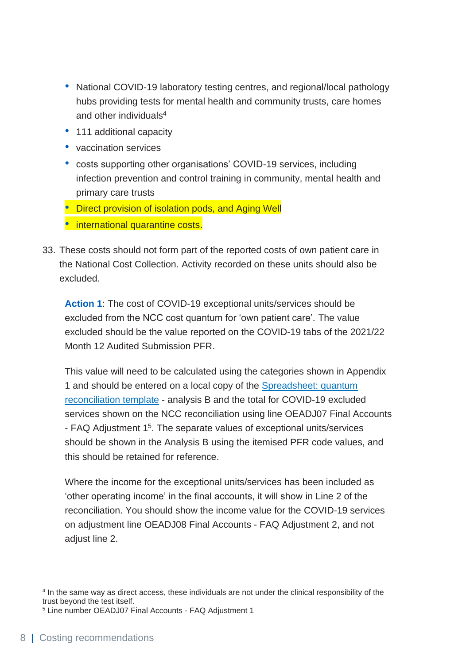- National COVID-19 laboratory testing centres, and regional/local pathology hubs providing tests for mental health and community trusts, care homes and other individuals<sup>4</sup>
- 111 additional capacity
- vaccination services
- costs supporting other organisations' COVID-19 services, including infection prevention and control training in community, mental health and primary care trusts

• Direct provision of isolation pods, and Aging Well

• international quarantine costs.

33. These costs should not form part of the reported costs of own patient care in the National Cost Collection. Activity recorded on these units should also be excluded.

**Action 1**: The cost of COVID-19 exceptional units/services should be excluded from the NCC cost quantum for 'own patient care'. The value excluded should be the value reported on the COVID-19 tabs of the 2021/22 Month 12 Audited Submission PFR.

This value will need to be calculated using the categories shown in Appendix 1 and should be entered on a local copy of the [Spreadsheet: quantum](https://www.openlearning.com/nhs/courses/costing-improvement/2020_21_reconciliation_template/?cl=1)  [reconciliation template](https://www.openlearning.com/nhs/courses/costing-improvement/2020_21_reconciliation_template/?cl=1) - analysis B and the total for COVID-19 excluded services shown on the NCC reconciliation using line OEADJ07 Final Accounts - FAQ Adjustment 1<sup>5</sup>. The separate values of exceptional units/services should be shown in the Analysis B using the itemised PFR code values, and this should be retained for reference.

Where the income for the exceptional units/services has been included as 'other operating income' in the final accounts, it will show in Line 2 of the reconciliation. You should show the income value for the COVID-19 services on adjustment line OEADJ08 Final Accounts - FAQ Adjustment 2, and not adjust line 2.

4 In the same way as direct access, these individuals are not under the clinical responsibility of the trust beyond the test itself.

<sup>5</sup> Line number OEADJ07 Final Accounts - FAQ Adjustment 1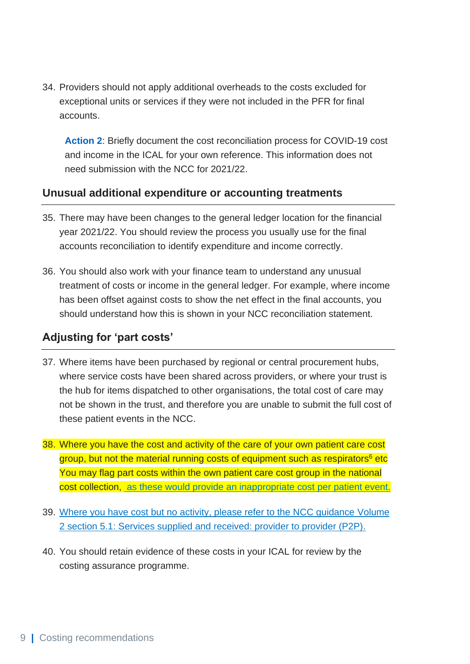34. Providers should not apply additional overheads to the costs excluded for exceptional units or services if they were not included in the PFR for final accounts.

**Action 2**: Briefly document the cost reconciliation process for COVID-19 cost and income in the ICAL for your own reference. This information does not need submission with the NCC for 2021/22.

#### **Unusual additional expenditure or accounting treatments**

- 35. There may have been changes to the general ledger location for the financial year 2021/22. You should review the process you usually use for the final accounts reconciliation to identify expenditure and income correctly.
- 36. You should also work with your finance team to understand any unusual treatment of costs or income in the general ledger. For example, where income has been offset against costs to show the net effect in the final accounts, you should understand how this is shown in your NCC reconciliation statement.

#### **Adjusting for 'part costs'**

- 37. Where items have been purchased by regional or central procurement hubs, where service costs have been shared across providers, or where your trust is the hub for items dispatched to other organisations, the total cost of care may not be shown in the trust, and therefore you are unable to submit the full cost of these patient events in the NCC.
- 38. Where you have the cost and activity of the care of your own patient care cost group, but not the material running costs of equipment such as respirators<sup>6</sup> etc You may flag part costs within the own patient care cost group in the national cost collection, as these would provide an inappropriate cost per patient event.
- 39. Where you have cost but no activity, please refer to the NCC guidance Volume 2 section 5.1: Services supplied and received: provider to provider (P2P).
- 40. You should retain evidence of these costs in your ICAL for review by the costing assurance programme.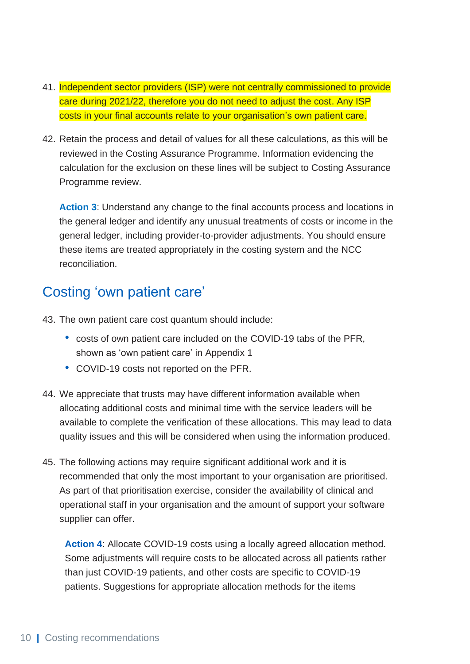- 41. Independent sector providers (ISP) were not centrally commissioned to provide care during 2021/22, therefore you do not need to adjust the cost. Any ISP costs in your final accounts relate to your organisation's own patient care.
- 42. Retain the process and detail of values for all these calculations, as this will be reviewed in the Costing Assurance Programme. Information evidencing the calculation for the exclusion on these lines will be subject to Costing Assurance Programme review.

**Action 3**: Understand any change to the final accounts process and locations in the general ledger and identify any unusual treatments of costs or income in the general ledger, including provider-to-provider adjustments. You should ensure these items are treated appropriately in the costing system and the NCC reconciliation.

### Costing 'own patient care'

- 43. The own patient care cost quantum should include:
	- costs of own patient care included on the COVID-19 tabs of the PFR, shown as 'own patient care' in Appendix 1
	- COVID-19 costs not reported on the PFR.
- 44. We appreciate that trusts may have different information available when allocating additional costs and minimal time with the service leaders will be available to complete the verification of these allocations. This may lead to data quality issues and this will be considered when using the information produced.
- 45. The following actions may require significant additional work and it is recommended that only the most important to your organisation are prioritised. As part of that prioritisation exercise, consider the availability of clinical and operational staff in your organisation and the amount of support your software supplier can offer.

**Action 4**: Allocate COVID-19 costs using a locally agreed allocation method. Some adjustments will require costs to be allocated across all patients rather than just COVID-19 patients, and other costs are specific to COVID-19 patients. Suggestions for appropriate allocation methods for the items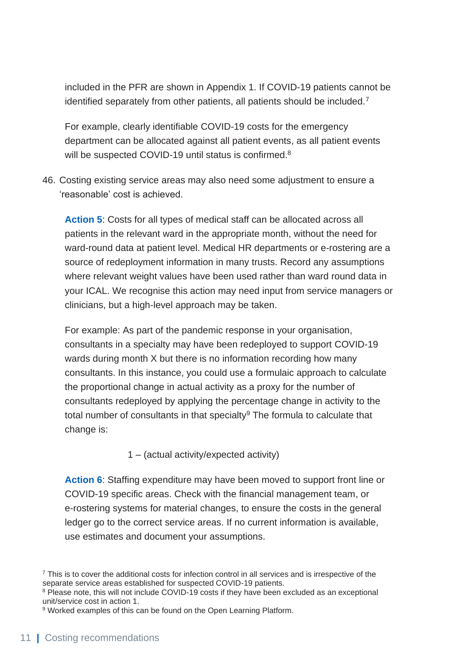included in the PFR are shown in Appendix 1. If COVID-19 patients cannot be identified separately from other patients, all patients should be included.<sup>7</sup>

For example, clearly identifiable COVID-19 costs for the emergency department can be allocated against all patient events, as all patient events will be suspected COVID-19 until status is confirmed.<sup>8</sup>

46. Costing existing service areas may also need some adjustment to ensure a 'reasonable' cost is achieved.

**Action 5**: Costs for all types of medical staff can be allocated across all patients in the relevant ward in the appropriate month, without the need for ward-round data at patient level. Medical HR departments or e-rostering are a source of redeployment information in many trusts. Record any assumptions where relevant weight values have been used rather than ward round data in your ICAL. We recognise this action may need input from service managers or clinicians, but a high-level approach may be taken.

For example: As part of the pandemic response in your organisation, consultants in a specialty may have been redeployed to support COVID-19 wards during month X but there is no information recording how many consultants. In this instance, you could use a formulaic approach to calculate the proportional change in actual activity as a proxy for the number of consultants redeployed by applying the percentage change in activity to the total number of consultants in that specialty $9$  The formula to calculate that change is:

1 – (actual activity/expected activity)

**Action 6**: Staffing expenditure may have been moved to support front line or COVID-19 specific areas. Check with the financial management team, or e-rostering systems for material changes, to ensure the costs in the general ledger go to the correct service areas. If no current information is available, use estimates and document your assumptions.

<sup>7</sup> This is to cover the additional costs for infection control in all services and is irrespective of the separate service areas established for suspected COVID-19 patients.

<sup>&</sup>lt;sup>8</sup> Please note, this will not include COVID-19 costs if they have been excluded as an exceptional unit/service cost in action 1.

<sup>9</sup> Worked examples of this can be found on the Open Learning Platform.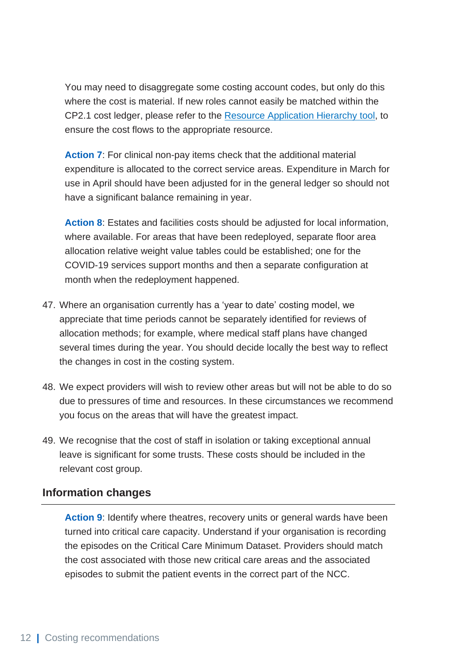You may need to disaggregate some costing account codes, but only do this where the cost is material. If new roles cannot easily be matched within the CP2.1 cost ledger, please refer to the [Resource Application Hierarchy](http://www.england.nhs.uk/self-help-and-learning-extensions) tool, to ensure the cost flows to the appropriate resource.

**Action 7**: For clinical non-pay items check that the additional material expenditure is allocated to the correct service areas. Expenditure in March for use in April should have been adjusted for in the general ledger so should not have a significant balance remaining in year.

**Action 8**: Estates and facilities costs should be adjusted for local information, where available. For areas that have been redeployed, separate floor area allocation relative weight value tables could be established; one for the COVID-19 services support months and then a separate configuration at month when the redeployment happened.

- 47. Where an organisation currently has a 'year to date' costing model, we appreciate that time periods cannot be separately identified for reviews of allocation methods; for example, where medical staff plans have changed several times during the year. You should decide locally the best way to reflect the changes in cost in the costing system.
- 48. We expect providers will wish to review other areas but will not be able to do so due to pressures of time and resources. In these circumstances we recommend you focus on the areas that will have the greatest impact.
- 49. We recognise that the cost of staff in isolation or taking exceptional annual leave is significant for some trusts. These costs should be included in the relevant cost group.

#### **Information changes**

**Action 9**: Identify where theatres, recovery units or general wards have been turned into critical care capacity. Understand if your organisation is recording the episodes on the Critical Care Minimum Dataset. Providers should match the cost associated with those new critical care areas and the associated episodes to submit the patient events in the correct part of the NCC.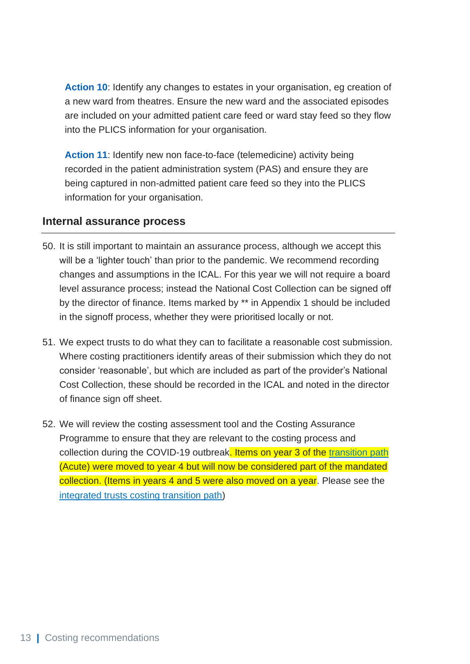Action 10: Identify any changes to estates in your organisation, eg creation of a new ward from theatres. Ensure the new ward and the associated episodes are included on your admitted patient care feed or ward stay feed so they flow into the PLICS information for your organisation.

**Action 11**: Identify new non face-to-face (telemedicine) activity being recorded in the patient administration system (PAS) and ensure they are being captured in non-admitted patient care feed so they into the PLICS information for your organisation.

#### **Internal assurance process**

- 50. It is still important to maintain an assurance process, although we accept this will be a 'lighter touch' than prior to the pandemic. We recommend recording changes and assumptions in the ICAL. For this year we will not require a board level assurance process; instead the National Cost Collection can be signed off by the director of finance. Items marked by \*\* in Appendix 1 should be included in the signoff process, whether they were prioritised locally or not.
- 51. We expect trusts to do what they can to facilitate a reasonable cost submission. Where costing practitioners identify areas of their submission which they do not consider 'reasonable', but which are included as part of the provider's National Cost Collection, these should be recorded in the ICAL and noted in the director of finance sign off sheet.
- 52. We will review the costing assessment tool and the Costing Assurance Programme to ensure that they are relevant to the costing process and collection during the COVID-19 outbreak. Items on year 3 of the [transition path](https://www.england.nhs.uk/publication/approved-costing-guidance-2021-integrated-prescribed-guidance-and-tools/) (Acute) were moved to year 4 but will now be considered part of the mandated collection. (Items in years 4 and 5 were also moved on a year. Please see the [integrated trusts costing transition path\)](http://www.england.nhs.uk/approved-costing-guidance-2022)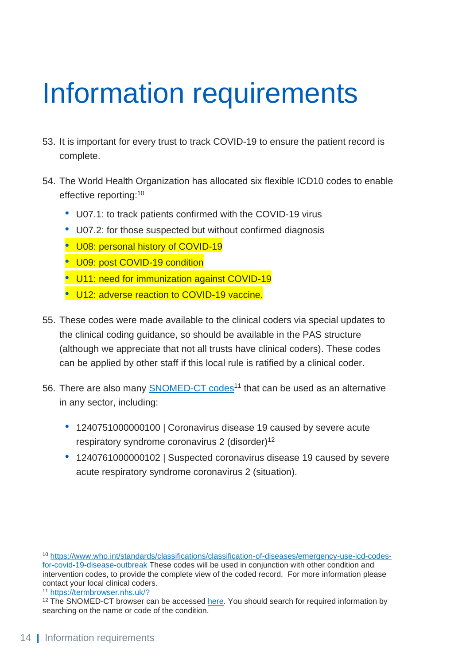## <span id="page-14-0"></span>Information requirements

- 53. It is important for every trust to track COVID-19 to ensure the patient record is complete.
- 54. The World Health Organization has allocated six flexible ICD10 codes to enable effective reporting:<sup>10</sup>
	- U07.1: to track patients confirmed with the COVID-19 virus
	- U07.2: for those suspected but without confirmed diagnosis
	- U08: personal history of COVID-19
	- U09: post COVID-19 condition
	- U11: need for immunization against COVID-19
	- U12: adverse reaction to COVID-19 vaccine.
- 55. These codes were made available to the clinical coders via special updates to the clinical coding guidance, so should be available in the PAS structure (although we appreciate that not all trusts have clinical coders). These codes can be applied by other staff if this local rule is ratified by a clinical coder.
- 56. There are also many **SNOMED-CT** codes<sup>11</sup> that can be used as an alternative in any sector, including:
	- 1240751000000100 | Coronavirus disease 19 caused by severe acute respiratory syndrome coronavirus 2 (disorder)<sup>12</sup>
	- 1240761000000102 | Suspected coronavirus disease 19 caused by severe acute respiratory syndrome coronavirus 2 (situation).

<sup>10</sup> [https://www.who.int/standards/classifications/classification-of-diseases/emergency-use-icd-codes](https://www.who.int/standards/classifications/classification-of-diseases/emergency-use-icd-codes-for-covid-19-disease-outbreak)[for-covid-19-disease-outbreak](https://www.who.int/standards/classifications/classification-of-diseases/emergency-use-icd-codes-for-covid-19-disease-outbreak) These codes will be used in conjunction with other condition and intervention codes, to provide the complete view of the coded record. For more information please contact your local clinical coders.

<sup>11</sup> <https://termbrowser.nhs.uk/?>

<sup>&</sup>lt;sup>12</sup> The SNOMED-CT browser can be accessed [here.](https://termbrowser.nhs.uk/?perspective=full&conceptId1=1240751000000100&edition=uk-edition&release=v20200415&server=https://termbrowser.nhs.uk/sct-browser-api/snomed&langRefset=999001261000000100,999000691000001104) You should search for required information by searching on the name or code of the condition.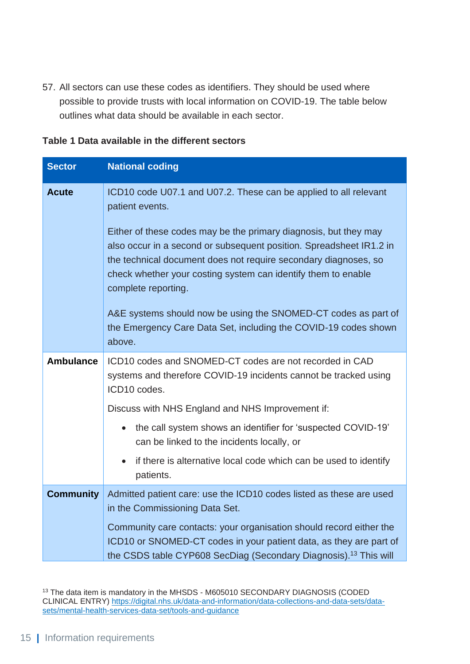57. All sectors can use these codes as identifiers. They should be used where possible to provide trusts with local information on COVID-19. The table below outlines what data should be available in each sector.

| <b>Sector</b>    | <b>National coding</b>                                                                                                                                                                                                         |
|------------------|--------------------------------------------------------------------------------------------------------------------------------------------------------------------------------------------------------------------------------|
| <b>Acute</b>     | ICD10 code U07.1 and U07.2. These can be applied to all relevant<br>patient events.<br>Either of these codes may be the primary diagnosis, but they may                                                                        |
|                  | also occur in a second or subsequent position. Spreadsheet IR1.2 in<br>the technical document does not require secondary diagnoses, so<br>check whether your costing system can identify them to enable<br>complete reporting. |
|                  | A&E systems should now be using the SNOMED-CT codes as part of<br>the Emergency Care Data Set, including the COVID-19 codes shown<br>above.                                                                                    |
| <b>Ambulance</b> | ICD10 codes and SNOMED-CT codes are not recorded in CAD<br>systems and therefore COVID-19 incidents cannot be tracked using<br>ICD10 codes.                                                                                    |
|                  | Discuss with NHS England and NHS Improvement if:                                                                                                                                                                               |
|                  | the call system shows an identifier for 'suspected COVID-19'<br>$\bullet$<br>can be linked to the incidents locally, or                                                                                                        |
|                  | if there is alternative local code which can be used to identify<br>$\bullet$<br>patients.                                                                                                                                     |
| <b>Community</b> | Admitted patient care: use the ICD10 codes listed as these are used<br>in the Commissioning Data Set.                                                                                                                          |
|                  | Community care contacts: your organisation should record either the<br>ICD10 or SNOMED-CT codes in your patient data, as they are part of<br>the CSDS table CYP608 SecDiag (Secondary Diagnosis). <sup>13</sup> This will      |

#### **Table 1 Data available in the different sectors**

<sup>&</sup>lt;sup>13</sup> The data item is mandatory in the MHSDS - M605010 SECONDARY DIAGNOSIS (CODED CLINICAL ENTRY) [https://digital.nhs.uk/data-and-information/data-collections-and-data-sets/data](https://digital.nhs.uk/data-and-information/data-collections-and-data-sets/data-sets/mental-health-services-data-set/tools-and-guidance)[sets/mental-health-services-data-set/tools-and-guidance](https://digital.nhs.uk/data-and-information/data-collections-and-data-sets/data-sets/mental-health-services-data-set/tools-and-guidance)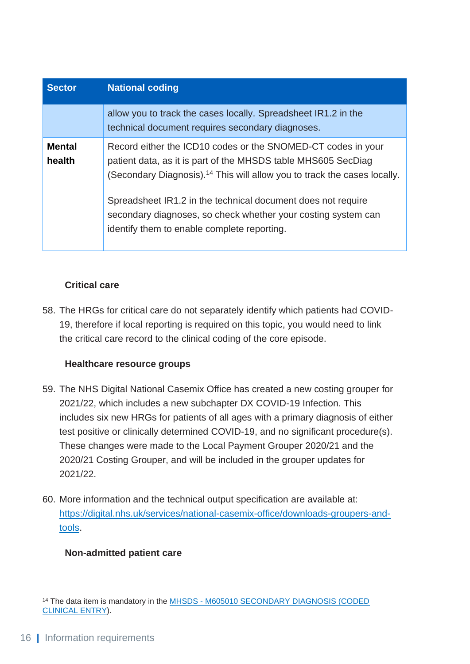| <b>Sector</b>           | <b>National coding</b>                                                                                                                                                                                                |
|-------------------------|-----------------------------------------------------------------------------------------------------------------------------------------------------------------------------------------------------------------------|
|                         | allow you to track the cases locally. Spreadsheet IR1.2 in the<br>technical document requires secondary diagnoses.                                                                                                    |
| <b>Mental</b><br>health | Record either the ICD10 codes or the SNOMED-CT codes in your<br>patient data, as it is part of the MHSDS table MHS605 SecDiag<br>(Secondary Diagnosis). <sup>14</sup> This will allow you to track the cases locally. |
|                         | Spreadsheet IR1.2 in the technical document does not require<br>secondary diagnoses, so check whether your costing system can<br>identify them to enable complete reporting.                                          |

#### **Critical care**

58. The HRGs for critical care do not separately identify which patients had COVID-19, therefore if local reporting is required on this topic, you would need to link the critical care record to the clinical coding of the core episode.

#### **Healthcare resource groups**

- 59. The NHS Digital National Casemix Office has created a new costing grouper for 2021/22, which includes a new subchapter DX COVID-19 Infection. This includes six new HRGs for patients of all ages with a primary diagnosis of either test positive or clinically determined COVID-19, and no significant procedure(s). These changes were made to the Local Payment Grouper 2020/21 and the 2020/21 Costing Grouper, and will be included in the grouper updates for 2021/22.
- 60. More information and the technical output specification are available at: [https://digital.nhs.uk/services/national-casemix-office/downloads-groupers-and](https://digital.nhs.uk/services/national-casemix-office/downloads-groupers-and-tools)[tools.](https://digital.nhs.uk/services/national-casemix-office/downloads-groupers-and-tools)

#### **Non-admitted patient care**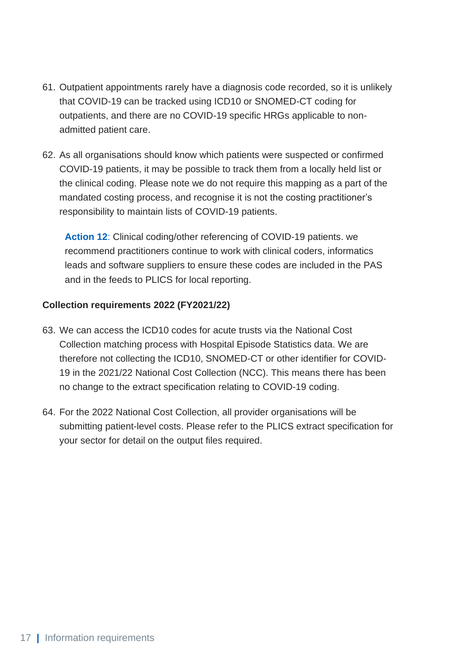- 61. Outpatient appointments rarely have a diagnosis code recorded, so it is unlikely that COVID-19 can be tracked using ICD10 or SNOMED-CT coding for outpatients, and there are no COVID-19 specific HRGs applicable to nonadmitted patient care.
- 62. As all organisations should know which patients were suspected or confirmed COVID-19 patients, it may be possible to track them from a locally held list or the clinical coding. Please note we do not require this mapping as a part of the mandated costing process, and recognise it is not the costing practitioner's responsibility to maintain lists of COVID-19 patients.

**Action 12**: Clinical coding/other referencing of COVID-19 patients. we recommend practitioners continue to work with clinical coders, informatics leads and software suppliers to ensure these codes are included in the PAS and in the feeds to PLICS for local reporting.

#### **Collection requirements 2022 (FY2021/22)**

- 63. We can access the ICD10 codes for acute trusts via the National Cost Collection matching process with Hospital Episode Statistics data. We are therefore not collecting the ICD10, SNOMED-CT or other identifier for COVID-19 in the 2021/22 National Cost Collection (NCC). This means there has been no change to the extract specification relating to COVID-19 coding.
- 64. For the 2022 National Cost Collection, all provider organisations will be submitting patient-level costs. Please refer to the PLICS extract specification for your sector for detail on the output files required.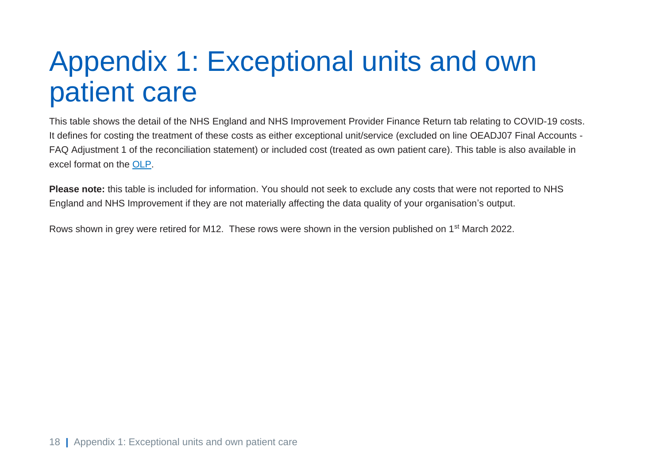### Appendix 1: Exceptional units and own patient care

This table shows the detail of the NHS England and NHS Improvement Provider Finance Return tab relating to COVID-19 costs. It defines for costing the treatment of these costs as either exceptional unit/service (excluded on line OEADJ07 Final Accounts - FAQ Adjustment 1 of the reconciliation statement) or included cost (treated as own patient care). This table is also available in excel format on the [OLP.](https://www.openlearning.com/nhs/courses/costing-improvement/covid_19_guidance_2021_22/?cl=1)

**Please note:** this table is included for information. You should not seek to exclude any costs that were not reported to NHS England and NHS Improvement if they are not materially affecting the data quality of your organisation's output.

<span id="page-18-0"></span>Rows shown in grey were retired for M12. These rows were shown in the version published on 1st March 2022.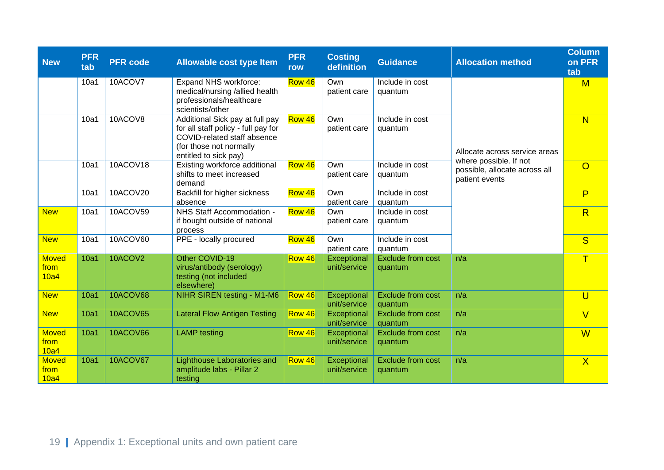| <b>New</b>                   | <b>PFR</b><br>tab | <b>PFR</b> code | <b>Allowable cost type Item</b>                                                                                                                           | <b>PFR</b><br>row | <b>Costing</b><br>definition | <b>Guidance</b>                     | <b>Allocation method</b>                                                  | <b>Column</b><br>on PFR<br>tab |
|------------------------------|-------------------|-----------------|-----------------------------------------------------------------------------------------------------------------------------------------------------------|-------------------|------------------------------|-------------------------------------|---------------------------------------------------------------------------|--------------------------------|
|                              | 10a1              | 10ACOV7         | Expand NHS workforce:<br>medical/nursing /allied health<br>professionals/healthcare<br>scientists/other                                                   | Row 46            | Own<br>patient care          | Include in cost<br>quantum          |                                                                           | $\mathsf{M}$                   |
|                              | 10a1              | 10ACOV8         | Additional Sick pay at full pay<br>for all staff policy - full pay for<br>COVID-related staff absence<br>(for those not normally<br>entitled to sick pay) | Row 46            | Own<br>patient care          | Include in cost<br>quantum          | Allocate across service areas                                             | N                              |
|                              | 10a1              | 10ACOV18        | Existing workforce additional<br>shifts to meet increased<br>demand                                                                                       | Row 46            | Own<br>patient care          | Include in cost<br>quantum          | where possible. If not<br>possible, allocate across all<br>patient events | $\overline{O}$                 |
|                              | 10a1              | 10ACOV20        | <b>Backfill for higher sickness</b><br>absence                                                                                                            | Row 46            | Own<br>patient care          | Include in cost<br>quantum          |                                                                           | P                              |
| <b>New</b>                   | 10a1              | 10ACOV59        | NHS Staff Accommodation -<br>if bought outside of national<br>process                                                                                     | Row 46            | Own<br>patient care          | Include in cost<br>quantum          |                                                                           | R                              |
| <b>New</b>                   | 10a1              | 10ACOV60        | PPE - locally procured                                                                                                                                    | Row 46            | Own<br>patient care          | Include in cost<br>quantum          |                                                                           | S                              |
| <b>Moved</b><br>from<br>10a4 | 10a1              | 10ACOV2         | Other COVID-19<br>virus/antibody (serology)<br>testing (not included<br>elsewhere)                                                                        | Row 46            | Exceptional<br>unit/service  | <b>Exclude from cost</b><br>quantum | n/a                                                                       | $\mathsf T$                    |
| <b>New</b>                   | 10a1              | <b>10ACOV68</b> | NIHR SIREN testing - M1-M6                                                                                                                                | <b>Row 46</b>     | Exceptional<br>unit/service  | <b>Exclude from cost</b><br>quantum | n/a                                                                       | $\overline{U}$                 |
| <b>New</b>                   | <b>10a1</b>       | <b>10ACOV65</b> | <b>Lateral Flow Antigen Testing</b>                                                                                                                       | <b>Row 46</b>     | Exceptional<br>unit/service  | <b>Exclude from cost</b><br>quantum | n/a                                                                       | $\vee$                         |
| <b>Moved</b><br>from<br>10a4 | 10a1              | <b>10ACOV66</b> | <b>LAMP</b> testing                                                                                                                                       | Row 46            | Exceptional<br>unit/service  | <b>Exclude from cost</b><br>quantum | n/a                                                                       | W                              |
| <b>Moved</b><br>from<br>10a4 | 10a1              | <b>10ACOV67</b> | <b>Lighthouse Laboratories and</b><br>amplitude labs - Pillar 2<br>testing                                                                                | Row 46            | Exceptional<br>unit/service  | <b>Exclude from cost</b><br>quantum | n/a                                                                       | $\overline{\mathsf{X}}$        |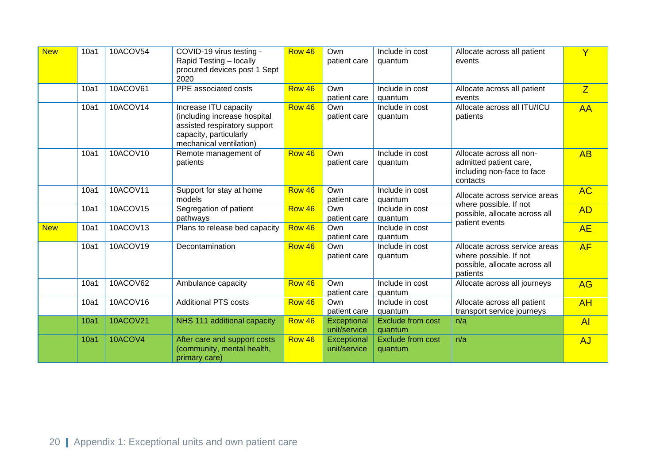| <b>New</b> | 10a1 | 10ACOV54        | COVID-19 virus testing -<br>Rapid Testing - locally<br>procured devices post 1 Sept<br>2020                                                | Row 46 | Own<br>patient care         | Include in cost<br>quantum          | Allocate across all patient<br>events                                                                | $\mathsf{Y}$ |
|------------|------|-----------------|--------------------------------------------------------------------------------------------------------------------------------------------|--------|-----------------------------|-------------------------------------|------------------------------------------------------------------------------------------------------|--------------|
|            | 10a1 | 10ACOV61        | PPE associated costs                                                                                                                       | Row 46 | Own<br>patient care         | Include in cost<br>quantum          | Allocate across all patient<br>events                                                                | Z            |
|            | 10a1 | 10ACOV14        | Increase ITU capacity<br>(including increase hospital<br>assisted respiratory support<br>capacity, particularly<br>mechanical ventilation) | Row 46 | Own<br>patient care         | Include in cost<br>quantum          | Allocate across all ITU/ICU<br>patients                                                              | <b>AA</b>    |
|            | 10a1 | 10ACOV10        | Remote management of<br>patients                                                                                                           | Row 46 | Own<br>patient care         | Include in cost<br>quantum          | Allocate across all non-<br>admitted patient care,<br>including non-face to face<br>contacts         | AB           |
|            | 10a1 | 10ACOV11        | Support for stay at home<br>models                                                                                                         | Row 46 | Own<br>patient care         | Include in cost<br>quantum          | Allocate across service areas<br>where possible. If not                                              | <b>AC</b>    |
|            | 10a1 | 10ACOV15        | Segregation of patient<br>pathways                                                                                                         | Row 46 | Own<br>patient care         | Include in cost<br>quantum          | possible, allocate across all                                                                        | <b>AD</b>    |
| <b>New</b> | 10a1 | 10ACOV13        | Plans to release bed capacity                                                                                                              | Row 46 | Own<br>patient care         | Include in cost<br>quantum          | patient events                                                                                       | <b>AE</b>    |
|            | 10a1 | 10ACOV19        | Decontamination                                                                                                                            | Row 46 | Own<br>patient care         | Include in cost<br>quantum          | Allocate across service areas<br>where possible. If not<br>possible, allocate across all<br>patients | AF           |
|            | 10a1 | 10ACOV62        | Ambulance capacity                                                                                                                         | Row 46 | Own<br>patient care         | Include in cost<br>quantum          | Allocate across all journeys                                                                         | <b>AG</b>    |
|            | 10a1 | 10ACOV16        | <b>Additional PTS costs</b>                                                                                                                | Row 46 | Own<br>patient care         | Include in cost<br>quantum          | Allocate across all patient<br>transport service journeys                                            | <b>AH</b>    |
|            | 10a1 | <b>10ACOV21</b> | NHS 111 additional capacity                                                                                                                | Row 46 | Exceptional<br>unit/service | <b>Exclude from cost</b><br>quantum | n/a                                                                                                  | AI           |
|            | 10a1 | 10ACOV4         | After care and support costs<br>(community, mental health,<br>primary care)                                                                | Row 46 | Exceptional<br>unit/service | <b>Exclude from cost</b><br>quantum | n/a                                                                                                  | AJ           |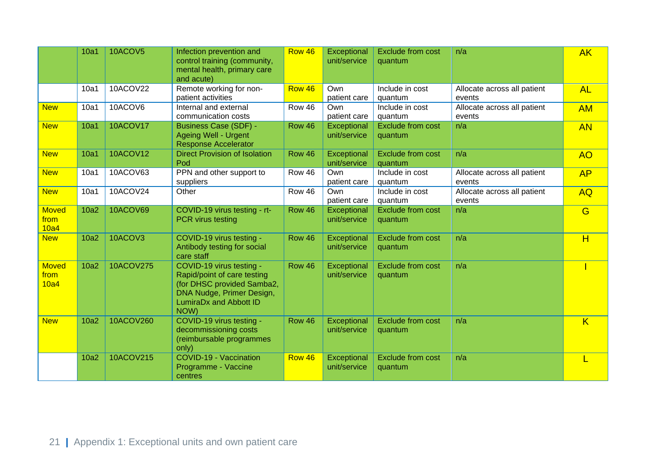|                              | 10a1 | 10ACOV5         | Infection prevention and<br>control training (community,<br>mental health, primary care<br>and acute)                                                | Row 46 | Exceptional<br>unit/service | <b>Exclude from cost</b><br>quantum | n/a                                   | <b>AK</b>               |
|------------------------------|------|-----------------|------------------------------------------------------------------------------------------------------------------------------------------------------|--------|-----------------------------|-------------------------------------|---------------------------------------|-------------------------|
|                              | 10a1 | 10ACOV22        | Remote working for non-<br>patient activities                                                                                                        | Row 46 | Own<br>patient care         | Include in cost<br>quantum          | Allocate across all patient<br>events | <b>AL</b>               |
| <b>New</b>                   | 10a1 | 10ACOV6         | Internal and external<br>communication costs                                                                                                         | Row 46 | Own<br>patient care         | Include in cost<br>quantum          | Allocate across all patient<br>events | <b>AM</b>               |
| <b>New</b>                   | 10a1 | <b>10ACOV17</b> | <b>Business Case (SDF) -</b><br><b>Ageing Well - Urgent</b><br><b>Response Accelerator</b>                                                           | Row 46 | Exceptional<br>unit/service | <b>Exclude from cost</b><br>quantum | n/a                                   | <b>AN</b>               |
| <b>New</b>                   | 10a1 | <b>10ACOV12</b> | <b>Direct Provision of Isolation</b><br>Pod                                                                                                          | Row 46 | Exceptional<br>unit/service | <b>Exclude from cost</b><br>quantum | n/a                                   | <b>AO</b>               |
| <b>New</b>                   | 10a1 | 10ACOV63        | PPN and other support to<br>suppliers                                                                                                                | Row 46 | Own<br>patient care         | Include in cost<br>quantum          | Allocate across all patient<br>events | AP                      |
| <b>New</b>                   | 10a1 | 10ACOV24        | Other                                                                                                                                                | Row 46 | Own<br>patient care         | Include in cost<br>quantum          | Allocate across all patient<br>events | <b>AQ</b>               |
| <b>Moved</b><br>from<br>10a4 | 10a2 | 10ACOV69        | COVID-19 virus testing - rt-<br><b>PCR</b> virus testing                                                                                             | Row 46 | Exceptional<br>unit/service | <b>Exclude from cost</b><br>quantum | n/a                                   | G                       |
| <b>New</b>                   | 10a2 | 10ACOV3         | COVID-19 virus testing -<br>Antibody testing for social<br>care staff                                                                                | Row 46 | Exceptional<br>unit/service | <b>Exclude from cost</b><br>quantum | n/a                                   | H                       |
| <b>Moved</b><br>from<br>10a4 | 10a2 | 10ACOV275       | COVID-19 virus testing -<br>Rapid/point of care testing<br>(for DHSC provided Samba2,<br>DNA Nudge, Primer Design,<br>LumiraDx and Abbott ID<br>NOW) | Row 46 | Exceptional<br>unit/service | <b>Exclude from cost</b><br>quantum | n/a                                   |                         |
| <b>New</b>                   | 10a2 | 10ACOV260       | COVID-19 virus testing -<br>decommissioning costs<br>(reimbursable programmes<br>only)                                                               | Row 46 | Exceptional<br>unit/service | <b>Exclude from cost</b><br>quantum | n/a                                   | $\overline{\mathsf{K}}$ |
|                              | 10a2 | 10ACOV215       | COVID-19 - Vaccination<br>Programme - Vaccine<br>centres                                                                                             | Row 46 | Exceptional<br>unit/service | Exclude from cost<br>quantum        | n/a                                   |                         |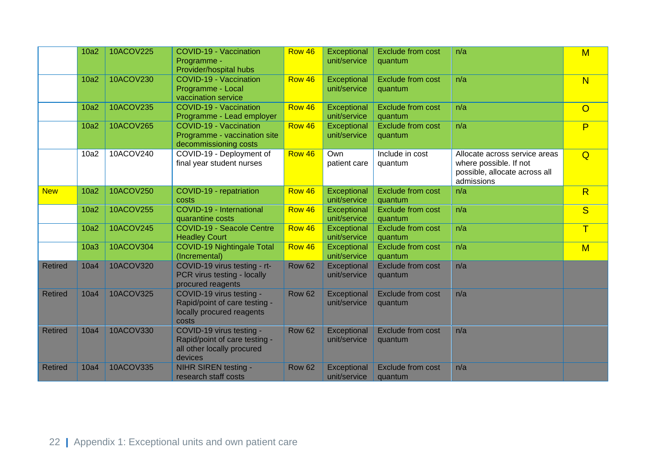|                | 10a2 | 10ACOV225        | COVID-19 - Vaccination<br>Programme -<br>Provider/hospital hubs                                    | Row 46        | Exceptional<br>unit/service | <b>Exclude from cost</b><br>quantum | n/a                                                                                                    | $M$            |
|----------------|------|------------------|----------------------------------------------------------------------------------------------------|---------------|-----------------------------|-------------------------------------|--------------------------------------------------------------------------------------------------------|----------------|
|                | 10a2 | 10ACOV230        | COVID-19 - Vaccination<br>Programme - Local<br>vaccination service                                 | Row 46        | Exceptional<br>unit/service | <b>Exclude from cost</b><br>quantum | n/a                                                                                                    | N              |
|                | 10a2 | 10ACOV235        | <b>COVID-19 - Vaccination</b><br>Programme - Lead employer                                         | Row 46        | Exceptional<br>unit/service | <b>Exclude from cost</b><br>quantum | n/a                                                                                                    | $\overline{O}$ |
|                | 10a2 | 10ACOV265        | COVID-19 - Vaccination<br>Programme - vaccination site<br>decommissioning costs                    | Row 46        | Exceptional<br>unit/service | <b>Exclude from cost</b><br>quantum | n/a                                                                                                    | P              |
|                | 10a2 | 10ACOV240        | COVID-19 - Deployment of<br>final year student nurses                                              | Row 46        | Own<br>patient care         | Include in cost<br>quantum          | Allocate across service areas<br>where possible. If not<br>possible, allocate across all<br>admissions | Q              |
| <b>New</b>     | 10a2 | 10ACOV250        | COVID-19 - repatriation<br>costs                                                                   | Row 46        | Exceptional<br>unit/service | <b>Exclude from cost</b><br>quantum | n/a                                                                                                    | R              |
|                | 10a2 | 10ACOV255        | COVID-19 - International<br>quarantine costs                                                       | Row 46        | Exceptional<br>unit/service | <b>Exclude from cost</b><br>quantum | n/a                                                                                                    | S              |
|                | 10a2 | 10ACOV245        | <b>COVID-19 - Seacole Centre</b><br><b>Headley Court</b>                                           | Row 46        | Exceptional<br>unit/service | <b>Exclude from cost</b><br>quantum | n/a                                                                                                    | $\mathsf T$    |
|                | 10a3 | 10ACOV304        | <b>COVID-19 Nightingale Total</b><br>(Incremental)                                                 | Row 46        | Exceptional<br>unit/service | <b>Exclude from cost</b><br>quantum | n/a                                                                                                    | M              |
| <b>Retired</b> | 10a4 | 10ACOV320        | COVID-19 virus testing - rt-<br>PCR virus testing - locally<br>procured reagents                   | <b>Row 62</b> | Exceptional<br>unit/service | <b>Exclude from cost</b><br>quantum | n/a                                                                                                    |                |
| <b>Retired</b> | 10a4 | <b>10ACOV325</b> | COVID-19 virus testing -<br>Rapid/point of care testing -<br>locally procured reagents<br>costs    | <b>Row 62</b> | Exceptional<br>unit/service | <b>Exclude from cost</b><br>quantum | n/a                                                                                                    |                |
| <b>Retired</b> | 10a4 | 10ACOV330        | COVID-19 virus testing -<br>Rapid/point of care testing -<br>all other locally procured<br>devices | <b>Row 62</b> | Exceptional<br>unit/service | <b>Exclude from cost</b><br>quantum | n/a                                                                                                    |                |
| <b>Retired</b> | 10a4 | 10ACOV335        | NIHR SIREN testing -<br>research staff costs                                                       | <b>Row 62</b> | Exceptional<br>unit/service | <b>Exclude from cost</b><br>quantum | n/a                                                                                                    |                |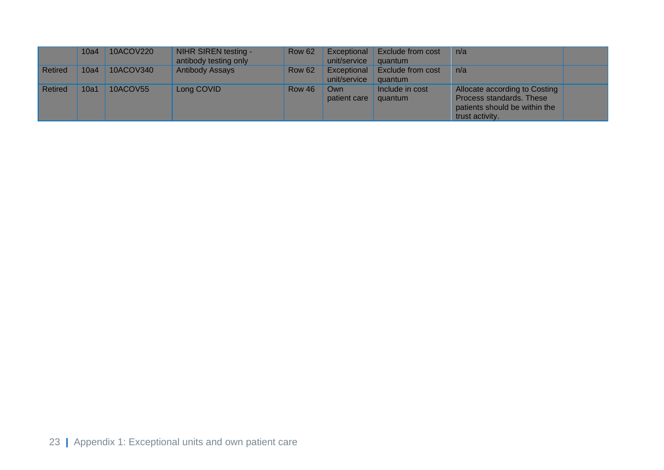|                | 10a4 | 10ACOV220       | NIHR SIREN testing -<br>antibody testing only | <b>Row 62</b> | Exceptional<br>unit/service | Exclude from cost<br>quantum        | n/a                                                                                                           |  |
|----------------|------|-----------------|-----------------------------------------------|---------------|-----------------------------|-------------------------------------|---------------------------------------------------------------------------------------------------------------|--|
| <b>Retired</b> | 10a4 | 10ACOV340       | <b>Antibody Assays</b>                        | <b>Row 62</b> | Exceptional<br>unit/service | <b>Exclude from cost</b><br>quantum | n/a                                                                                                           |  |
| <b>Retired</b> | 10a1 | <b>10ACOV55</b> | Long COVID                                    | <b>Row 46</b> | Own<br>patient care         | Include in cost<br>quantum          | Allocate according to Costing<br>Process standards. These<br>patients should be within the<br>trust activity. |  |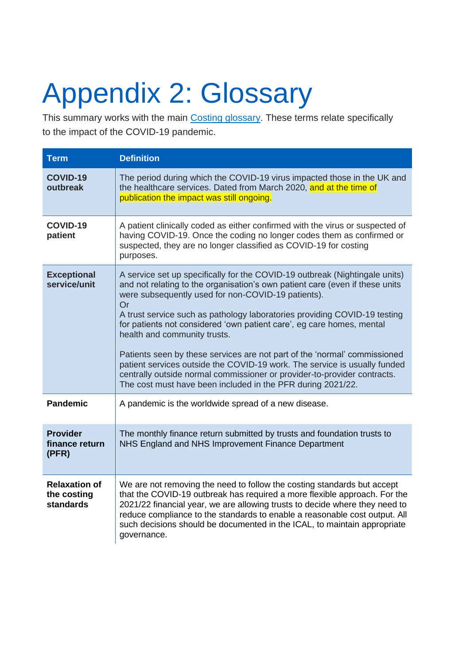# <span id="page-24-0"></span>Appendix 2: Glossary

This summary works with the main [Costing glossary.](http://www.england.nhs.uk/approved-costing-guidance-2022) These terms relate specifically to the impact of the COVID-19 pandemic.

| <b>Term</b>                                             | <b>Definition</b>                                                                                                                                                                                                                                                                                                                                                                                                                                                                                                                                                                                                                                                                                                  |
|---------------------------------------------------------|--------------------------------------------------------------------------------------------------------------------------------------------------------------------------------------------------------------------------------------------------------------------------------------------------------------------------------------------------------------------------------------------------------------------------------------------------------------------------------------------------------------------------------------------------------------------------------------------------------------------------------------------------------------------------------------------------------------------|
| <b>COVID-19</b><br>outbreak                             | The period during which the COVID-19 virus impacted those in the UK and<br>the healthcare services. Dated from March 2020, and at the time of<br>publication the impact was still ongoing.                                                                                                                                                                                                                                                                                                                                                                                                                                                                                                                         |
| COVID-19<br>patient                                     | A patient clinically coded as either confirmed with the virus or suspected of<br>having COVID-19. Once the coding no longer codes them as confirmed or<br>suspected, they are no longer classified as COVID-19 for costing<br>purposes.                                                                                                                                                                                                                                                                                                                                                                                                                                                                            |
| <b>Exceptional</b><br>service/unit                      | A service set up specifically for the COVID-19 outbreak (Nightingale units)<br>and not relating to the organisation's own patient care (even if these units<br>were subsequently used for non-COVID-19 patients).<br>Or<br>A trust service such as pathology laboratories providing COVID-19 testing<br>for patients not considered 'own patient care', eg care homes, mental<br>health and community trusts.<br>Patients seen by these services are not part of the 'normal' commissioned<br>patient services outside the COVID-19 work. The service is usually funded<br>centrally outside normal commissioner or provider-to-provider contracts.<br>The cost must have been included in the PFR during 2021/22. |
| <b>Pandemic</b>                                         | A pandemic is the worldwide spread of a new disease.                                                                                                                                                                                                                                                                                                                                                                                                                                                                                                                                                                                                                                                               |
| <b>Provider</b><br>finance return<br>(PFR)              | The monthly finance return submitted by trusts and foundation trusts to<br>NHS England and NHS Improvement Finance Department                                                                                                                                                                                                                                                                                                                                                                                                                                                                                                                                                                                      |
| <b>Relaxation of</b><br>the costing<br><b>standards</b> | We are not removing the need to follow the costing standards but accept<br>that the COVID-19 outbreak has required a more flexible approach. For the<br>2021/22 financial year, we are allowing trusts to decide where they need to<br>reduce compliance to the standards to enable a reasonable cost output. All<br>such decisions should be documented in the ICAL, to maintain appropriate<br>governance.                                                                                                                                                                                                                                                                                                       |